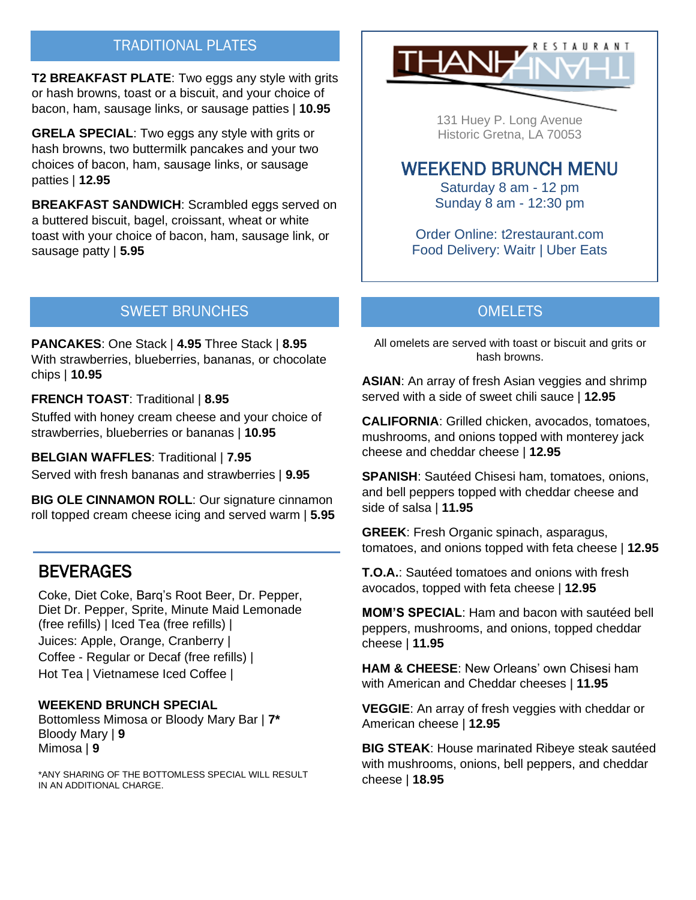## TRADITIONAL PLATES

**T2 BREAKFAST PLATE**: Two eggs any style with grits or hash browns, toast or a biscuit, and your choice of bacon, ham, sausage links, or sausage patties | **10.95**

**GRELA SPECIAL**: Two eggs any style with grits or hash browns, two buttermilk pancakes and your two choices of bacon, ham, sausage links, or sausage patties | **12.95**

**BREAKFAST SANDWICH**: Scrambled eggs served on a buttered biscuit, bagel, croissant, wheat or white toast with your choice of bacon, ham, sausage link, or sausage patty | **5.95**



131 Huey P. Long Avenue Historic Gretna, LA 70053

# WEEKEND BRUNCH MENU

Saturday 8 am - 12 pm Sunday 8 am - 12:30 pm

Order Online: t2restaurant.com Food Delivery: Waitr | Uber Eats

## SWEET BRUNCHES

**PANCAKES**: One Stack | **4.95** Three Stack | **8.95** With strawberries, blueberries, bananas, or chocolate chips | **10.95**

**FRENCH TOAST**: Traditional | **8.95** 

Stuffed with honey cream cheese and your choice of strawberries, blueberries or bananas | **10.95**

**BELGIAN WAFFLES**: Traditional | **7.95** Served with fresh bananas and strawberries | **9.95**

**BIG OLE CINNAMON ROLL: Our signature cinnamon** roll topped cream cheese icing and served warm | **5.95**

# **BEVERAGES**

Coke, Diet Coke, Barq's Root Beer, Dr. Pepper, Diet Dr. Pepper, Sprite, Minute Maid Lemonade (free refills) | Iced Tea (free refills) | Juices: Apple, Orange, Cranberry | Coffee - Regular or Decaf (free refills) | Hot Tea | Vietnamese Iced Coffee |

#### **WEEKEND BRUNCH SPECIAL**

Bottomless Mimosa or Bloody Mary Bar | **7\*** Bloody Mary | **9** Mimosa | **9**

\*ANY SHARING OF THE BOTTOMLESS SPECIAL WILL RESULT IN AN ADDITIONAL CHARGE.

## **OMELETS**

All omelets are served with toast or biscuit and grits or hash browns.

**ASIAN**: An array of fresh Asian veggies and shrimp served with a side of sweet chili sauce | **12.95**

**CALIFORNIA**: Grilled chicken, avocados, tomatoes, mushrooms, and onions topped with monterey jack cheese and cheddar cheese | **12.95**

**SPANISH**: Sautéed Chisesi ham, tomatoes, onions, and bell peppers topped with cheddar cheese and side of salsa | **11.95**

**GREEK**: Fresh Organic spinach, asparagus, tomatoes, and onions topped with feta cheese | **12.95** 

**T.O.A.**: Sautéed tomatoes and onions with fresh avocados, topped with feta cheese | **12.95**

**MOM'S SPECIAL**: Ham and bacon with sautéed bell peppers, mushrooms, and onions, topped cheddar cheese | **11.95**

**HAM & CHEESE**: New Orleans' own Chisesi ham with American and Cheddar cheeses | **11.95**

**VEGGIE**: An array of fresh veggies with cheddar or American cheese | **12.95**

**BIG STEAK**: House marinated Ribeye steak sautéed with mushrooms, onions, bell peppers, and cheddar cheese | **18.95**